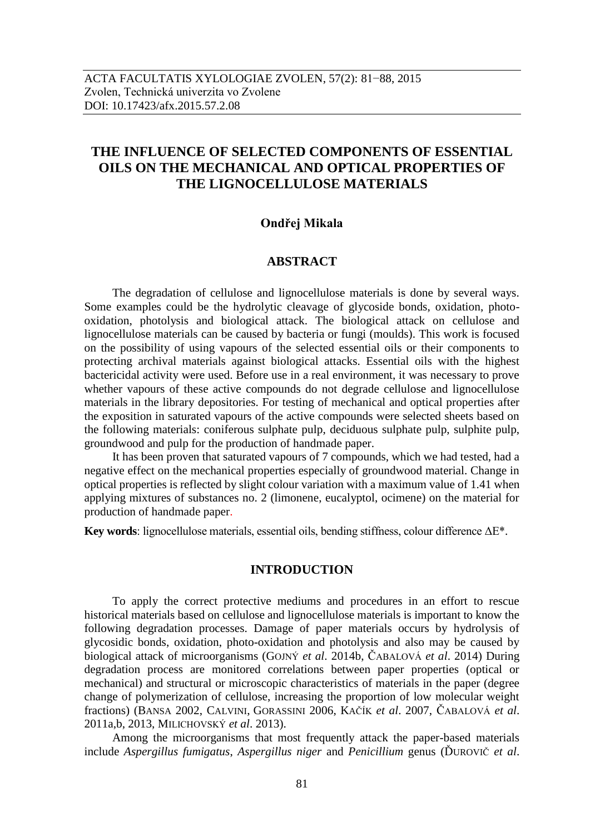# **THE INFLUENCE OF SELECTED COMPONENTS OF ESSENTIAL OILS ON THE MECHANICAL AND OPTICAL PROPERTIES OF THE LIGNOCELLULOSE MATERIALS**

### **Ondřej Mikala**

#### **ABSTRACT**

The degradation of cellulose and lignocellulose materials is done by several ways. Some examples could be the hydrolytic cleavage of glycoside bonds, oxidation, photooxidation, photolysis and biological attack. The biological attack on cellulose and lignocellulose materials can be caused by bacteria or fungi (moulds). This work is focused on the possibility of using vapours of the selected essential oils or their components to protecting archival materials against biological attacks. Essential oils with the highest bactericidal activity were used. Before use in a real environment, it was necessary to prove whether vapours of these active compounds do not degrade cellulose and lignocellulose materials in the library depositories. For testing of mechanical and optical properties after the exposition in saturated vapours of the active compounds were selected sheets based on the following materials: coniferous sulphate pulp, deciduous sulphate pulp, sulphite pulp, groundwood and pulp for the production of handmade paper.

It has been proven that saturated vapours of 7 compounds, which we had tested, had a negative effect on the mechanical properties especially of groundwood material. Change in optical properties is reflected by slight colour variation with a maximum value of 1.41 when applying mixtures of substances no. 2 (limonene, eucalyptol, ocimene) on the material for production of handmade paper.

**Key words**: lignocellulose materials, essential oils, bending stiffness, colour difference ΔE\*.

#### **INTRODUCTION**

To apply the correct protective mediums and procedures in an effort to rescue historical materials based on cellulose and lignocellulose materials is important to know the following degradation processes. Damage of paper materials occurs by hydrolysis of glycosidic bonds, oxidation, photo-oxidation and photolysis and also may be caused by biological attack of microorganisms (GOJNÝ *et al*. 2014b, ČABALOVÁ *et al*. 2014) During degradation process are monitored correlations between paper properties (optical or mechanical) and structural or microscopic characteristics of materials in the paper (degree change of polymerization of cellulose, increasing the proportion of low molecular weight fractions) (BANSA 2002, CALVINI, GORASSINI 2006, KAČÍK *et al*. 2007, ČABALOVÁ *et al*. 2011a,b, 2013, MILICHOVSKÝ *et al*. 2013).

Among the microorganisms that most frequently attack the paper-based materials include *Aspergillus fumigatus*, *Aspergillus niger* and *Penicillium* genus (ĎUROVIČ *et al*.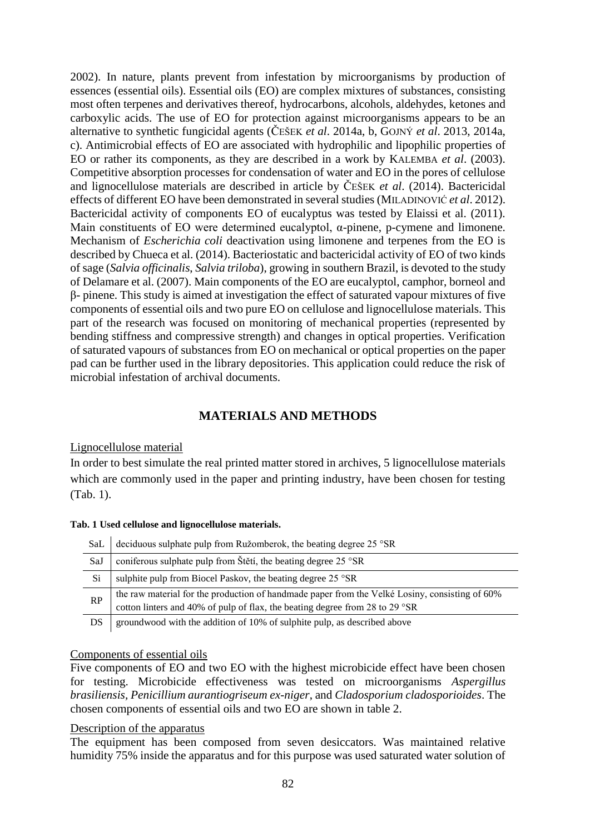2002). In nature, plants prevent from infestation by microorganisms by production of essences (essential oils). Essential oils (EO) are complex mixtures of substances, consisting most often terpenes and derivatives thereof, hydrocarbons, alcohols, aldehydes, ketones and carboxylic acids. The use of EO for protection against microorganisms appears to be an alternative to synthetic fungicidal agents (ČEŠEK *et al*. 2014a, b, GOJNÝ *et al*. 2013, 2014a, c). Antimicrobial effects of EO are associated with hydrophilic and lipophilic properties of EO or rather its components, as they are described in a work by KALEMBA *et al*. (2003). Competitive absorption processes for condensation of water and EO in the pores of cellulose and lignocellulose materials are described in article by ČEŠEK *et al*. (2014). Bactericidal effects of different EO have been demonstrated in several studies (MILADINOVIĆ *et al*. 2012). Bactericidal activity of components EO of eucalyptus was tested by Elaissi et al. (2011). Main constituents of EO were determined eucalyptol, α-pinene, p-cymene and limonene. Mechanism of *Escherichia coli* deactivation using limonene and terpenes from the EO is described by Chueca et al. (2014). Bacteriostatic and bactericidal activity of EO of two kinds of sage (*Salvia officinalis*, *Salvia triloba*), growing in southern Brazil, is devoted to the study of Delamare et al. (2007). Main components of the EO are eucalyptol, camphor, borneol and β- pinene. This study is aimed at investigation the effect of saturated vapour mixtures of five components of essential oils and two pure EO on cellulose and lignocellulose materials. This part of the research was focused on monitoring of mechanical properties (represented by bending stiffness and compressive strength) and changes in optical properties. Verification of saturated vapours of substances from EO on mechanical or optical properties on the paper pad can be further used in the library depositories. This application could reduce the risk of microbial infestation of archival documents.

## **MATERIALS AND METHODS**

#### Lignocellulose material

In order to best simulate the real printed matter stored in archives, 5 lignocellulose materials which are commonly used in the paper and printing industry, have been chosen for testing (Tab. 1).

| SaL          | deciduous sulphate pulp from Ružomberok, the beating degree 25 °SR                                                                                                             |
|--------------|--------------------------------------------------------------------------------------------------------------------------------------------------------------------------------|
| SaJ          | coniferous sulphate pulp from Štětí, the beating degree 25 °SR                                                                                                                 |
| Si.          | sulphite pulp from Biocel Paskov, the beating degree 25 °SR                                                                                                                    |
| RP           | the raw material for the production of handmade paper from the Velké Losiny, consisting of 60%<br>cotton linters and 40% of pulp of flax, the beating degree from 28 to 29 °SR |
| $\mathbf{a}$ |                                                                                                                                                                                |

DS groundwood with the addition of 10% of sulphite pulp, as described above

#### Components of essential oils

Five components of EO and two EO with the highest microbicide effect have been chosen for testing. Microbicide effectiveness was tested on microorganisms *Aspergillus brasiliensis, Penicillium aurantiogriseum ex-niger*, and *Cladosporium cladosporioides*. The chosen components of essential oils and two EO are shown in table 2.

#### Description of the apparatus

The equipment has been composed from seven desiccators. Was maintained relative humidity 75% inside the apparatus and for this purpose was used saturated water solution of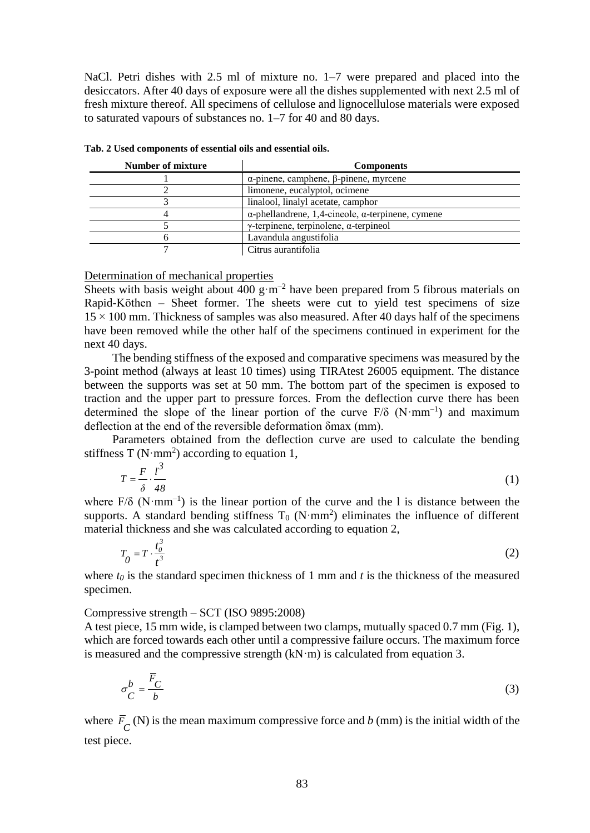NaCl. Petri dishes with 2.5 ml of mixture no.  $1-7$  were prepared and placed into the desiccators. After 40 days of exposure were all the dishes supplemented with next 2.5 ml of fresh mixture thereof. All specimens of cellulose and lignocellulose materials were exposed to saturated vapours of substances no. 1–7 for 40 and 80 days.

| <b>Number of mixture</b> | <b>Components</b>                                                |  |  |  |  |  |
|--------------------------|------------------------------------------------------------------|--|--|--|--|--|
|                          | $\alpha$ -pinene, camphene, $\beta$ -pinene, myrcene             |  |  |  |  |  |
|                          | limonene, eucalyptol, ocimene                                    |  |  |  |  |  |
|                          | linalool, linalyl acetate, camphor                               |  |  |  |  |  |
|                          | $\alpha$ -phellandrene, 1,4-cineole, $\alpha$ -terpinene, cymene |  |  |  |  |  |
|                          | $\gamma$ -terpinene, terpinolene, $\alpha$ -terpineol            |  |  |  |  |  |
|                          | Lavandula angustifolia                                           |  |  |  |  |  |
|                          | Citrus aurantifolia                                              |  |  |  |  |  |

**Tab. 2 Used components of essential oils and essential oils.**

#### Determination of mechanical properties

Sheets with basis weight about 400  $g \cdot m^{-2}$  have been prepared from 5 fibrous materials on Rapid-Köthen – Sheet former. The sheets were cut to yield test specimens of size  $15 \times 100$  mm. Thickness of samples was also measured. After 40 days half of the specimens have been removed while the other half of the specimens continued in experiment for the next 40 days.

The bending stiffness of the exposed and comparative specimens was measured by the 3-point method (always at least 10 times) using TIRAtest 26005 equipment. The distance between the supports was set at 50 mm. The bottom part of the specimen is exposed to traction and the upper part to pressure forces. From the deflection curve there has been determined the slope of the linear portion of the curve  $F/\delta$  (N·mm<sup>-1</sup>) and maximum deflection at the end of the reversible deformation δmax (mm).

Parameters obtained from the deflection curve are used to calculate the bending stiffness T (N·mm<sup>2</sup>) according to equation 1,

$$
T = \frac{F}{\delta} \cdot \frac{l^3}{48} \tag{1}
$$

where  $F/\delta$  (N·mm<sup>-1</sup>) is the linear portion of the curve and the 1 is distance between the supports. A standard bending stiffness  $T_0$  (N·mm<sup>2</sup>) eliminates the influence of different material thickness and she was calculated according to equation 2,

$$
T_0 = T \cdot \frac{t_0^3}{t^3} \tag{2}
$$

where  $t_0$  is the standard specimen thickness of 1 mm and  $t$  is the thickness of the measured specimen.

#### Compressive strength – SCT (ISO 9895:2008)

A test piece, 15 mm wide, is clamped between two clamps, mutually spaced 0.7 mm (Fig. 1), which are forced towards each other until a compressive failure occurs. The maximum force is measured and the compressive strength (kN·m) is calculated from equation 3.

$$
\sigma_C^b = \frac{\overline{F}_C}{b} \tag{3}
$$

where  $\overline{F}_C$  (N) is the mean maximum compressive force and *b* (mm) is the initial width of the test piece.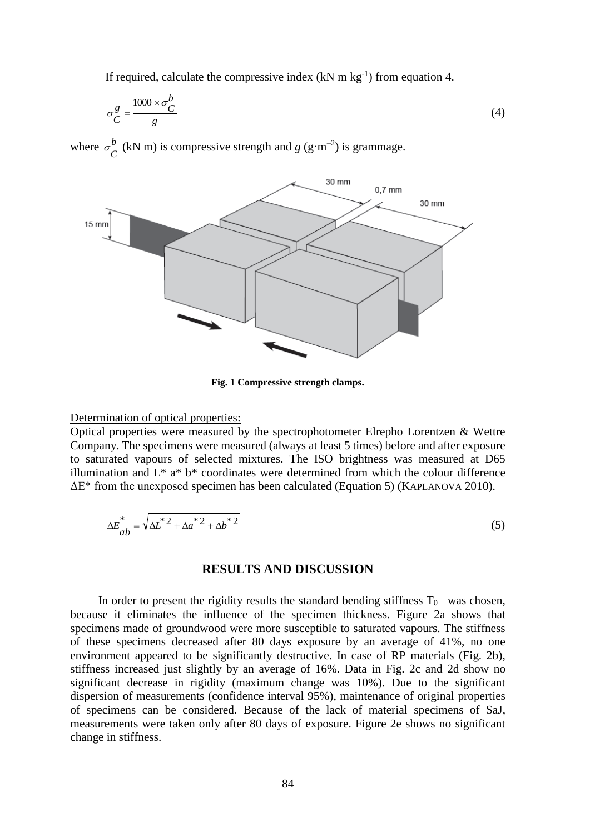If required, calculate the compressive index  $(kN \text{ m kg}^{-1})$  from equation 4.

$$
\sigma_C^g = \frac{1000 \times \sigma_C^b}{g} \tag{4}
$$

where  $\sigma^b$  $\sigma_C^b$  (kN m) is compressive strength and *g* (g·m<sup>-2</sup>) is grammage.



**Fig. 1 Compressive strength clamps.**

Determination of optical properties:

Optical properties were measured by the spectrophotometer Elrepho Lorentzen & Wettre Company. The specimens were measured (always at least 5 times) before and after exposure to saturated vapours of selected mixtures. The ISO brightness was measured at D65 illumination and  $L^*$  a<sup>\*</sup> b<sup>\*</sup> coordinates were determined from which the colour difference ΔE\* from the unexposed specimen has been calculated (Equation 5) (KAPLANOVA 2010).

$$
\Delta E_{ab}^* = \sqrt{\Delta L^{*2} + {\Delta a}^{*2} + {\Delta b}^{*2}}
$$
\n<sup>(5)</sup>

#### **RESULTS AND DISCUSSION**

In order to present the rigidity results the standard bending stiffness  $T_0$  was chosen, because it eliminates the influence of the specimen thickness. Figure 2a shows that specimens made of groundwood were more susceptible to saturated vapours. The stiffness of these specimens decreased after 80 days exposure by an average of 41%, no one environment appeared to be significantly destructive. In case of RP materials (Fig. 2b), stiffness increased just slightly by an average of 16%. Data in Fig. 2c and 2d show no significant decrease in rigidity (maximum change was 10%). Due to the significant dispersion of measurements (confidence interval 95%), maintenance of original properties of specimens can be considered. Because of the lack of material specimens of SaJ, measurements were taken only after 80 days of exposure. Figure 2e shows no significant change in stiffness.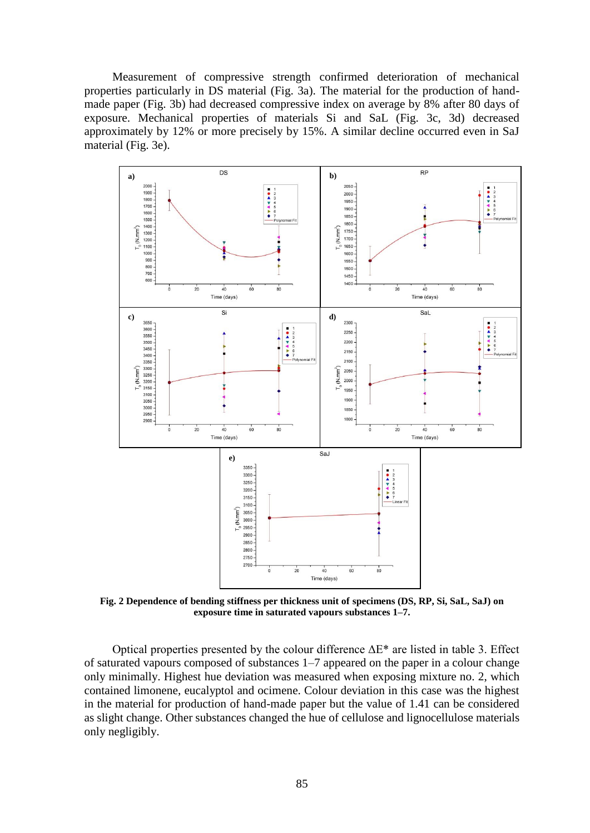Measurement of compressive strength confirmed deterioration of mechanical properties particularly in DS material (Fig. 3a). The material for the production of handmade paper (Fig. 3b) had decreased compressive index on average by 8% after 80 days of exposure. Mechanical properties of materials Si and SaL (Fig. 3c, 3d) decreased approximately by 12% or more precisely by 15%. A similar decline occurred even in SaJ material (Fig. 3e).



**Fig. 2 Dependence of bending stiffness per thickness unit of specimens (DS, RP, Si, SaL, SaJ) on exposure time in saturated vapours substances 1–7.**

Optical properties presented by the colour difference ΔE\* are listed in table 3. Effect of saturated vapours composed of substances 1‒7 appeared on the paper in a colour change only minimally. Highest hue deviation was measured when exposing mixture no. 2, which contained limonene, eucalyptol and ocimene. Colour deviation in this case was the highest in the material for production of hand-made paper but the value of 1.41 can be considered as slight change. Other substances changed the hue of cellulose and lignocellulose materials only negligibly.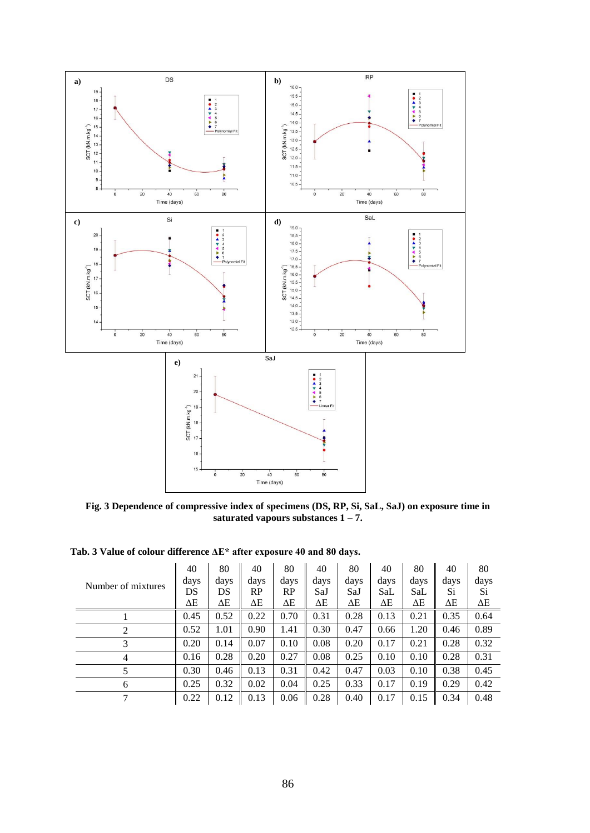

**Fig. 3 Dependence of compressive index of specimens (DS, RP, Si, SaL, SaJ) on exposure time in saturated vapours substances 1 – 7.**

| Tab. 3 Value of colour difference $\Delta E^*$ after exposure 40 and 80 days. |  |
|-------------------------------------------------------------------------------|--|
|-------------------------------------------------------------------------------|--|

|                    | 40   | 80   | 40   | 80   | 40         | 80   | 40   | 80   | 40   | 80   |
|--------------------|------|------|------|------|------------|------|------|------|------|------|
| Number of mixtures | days | days | days | days | days       | days | days | days | days | days |
|                    | DS   | DS   | RP   | RP   | SaJ        | SaJ  | SaL  | SaL  | Si   | Si   |
|                    | ΔΕ   | ΔE   | ΔE   | ΔE   | $\Delta E$ | ΔE   | ΔЕ   | ΔЕ   | ΔЕ   | ΔE   |
|                    | 0.45 | 0.52 | 0.22 | 0.70 | 0.31       | 0.28 | 0.13 | 0.21 | 0.35 | 0.64 |
| $\overline{2}$     | 0.52 | 1.01 | 0.90 | 1.41 | 0.30       | 0.47 | 0.66 | 1.20 | 0.46 | 0.89 |
| 3                  | 0.20 | 0.14 | 0.07 | 0.10 | 0.08       | 0.20 | 0.17 | 0.21 | 0.28 | 0.32 |
| $\overline{4}$     | 0.16 | 0.28 | 0.20 | 0.27 | 0.08       | 0.25 | 0.10 | 0.10 | 0.28 | 0.31 |
| 5                  | 0.30 | 0.46 | 0.13 | 0.31 | 0.42       | 0.47 | 0.03 | 0.10 | 0.38 | 0.45 |
| 6                  | 0.25 | 0.32 | 0.02 | 0.04 | 0.25       | 0.33 | 0.17 | 0.19 | 0.29 | 0.42 |
| $\mathcal{I}$      | 0.22 | 0.12 | 0.13 | 0.06 | 0.28       | 0.40 | 0.17 | 0.15 | 0.34 | 0.48 |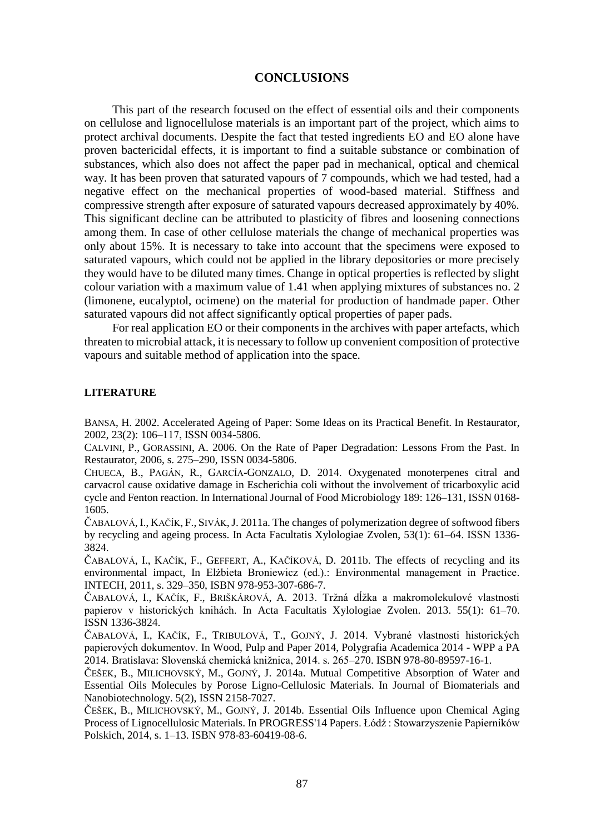#### **CONCLUSIONS**

This part of the research focused on the effect of essential oils and their components on cellulose and lignocellulose materials is an important part of the project, which aims to protect archival documents. Despite the fact that tested ingredients EO and EO alone have proven bactericidal effects, it is important to find a suitable substance or combination of substances, which also does not affect the paper pad in mechanical, optical and chemical way. It has been proven that saturated vapours of 7 compounds, which we had tested, had a negative effect on the mechanical properties of wood-based material. Stiffness and compressive strength after exposure of saturated vapours decreased approximately by 40%. This significant decline can be attributed to plasticity of fibres and loosening connections among them. In case of other cellulose materials the change of mechanical properties was only about 15%. It is necessary to take into account that the specimens were exposed to saturated vapours, which could not be applied in the library depositories or more precisely they would have to be diluted many times. Change in optical properties is reflected by slight colour variation with a maximum value of 1.41 when applying mixtures of substances no. 2 (limonene, eucalyptol, ocimene) on the material for production of handmade paper. Other saturated vapours did not affect significantly optical properties of paper pads.

For real application EO or their components in the archives with paper artefacts, which threaten to microbial attack, it is necessary to follow up convenient composition of protective vapours and suitable method of application into the space.

#### **LITERATURE**

BANSA, H. 2002. Accelerated Ageing of Paper: Some Ideas on its Practical Benefit. In Restaurator, 2002, 23(2): 106‒117, ISSN 0034-5806.

CALVINI, P., GORASSINI, A. 2006. On the Rate of Paper Degradation: Lessons From the Past. In Restaurator, 2006, s. 275‒290, ISSN 0034-5806.

CHUECA, B., PAGÁN, R., GARCÍA-GONZALO, D. 2014. Oxygenated monoterpenes citral and carvacrol cause oxidative damage in Escherichia coli without the involvement of tricarboxylic acid cycle and Fenton reaction. In International Journal of Food Microbiology 189: 126–131, ISSN 0168- 1605.

ČABALOVÁ, I., KAČÍK, F., SIVÁK,J. 2011a. The changes of polymerization degree of softwood fibers by recycling and ageing process. In Acta Facultatis Xylologiae Zvolen, 53(1): 61–64. ISSN 1336-3824.

ČABALOVÁ, I., KAČÍK, F., GEFFERT, A., KAČÍKOVÁ, D. 2011b. The effects of recycling and its environmental impact, In Elżbieta Broniewicz (ed.).: Environmental management in Practice. INTECH, 2011, s. 329‒350, ISBN 978-953-307-686-7.

ČABALOVÁ, I., KAČÍK, F., BRIŠKÁROVÁ, A. 2013. Tržná dĺžka a makromolekulové vlastnosti papierov v historických knihách. In Acta Facultatis Xylologiae Zvolen. 2013. 55(1): 61–70. ISSN 1336-3824.

ČABALOVÁ, I., KAČÍK, F., TRIBULOVÁ, T., GOJNÝ, J. 2014. Vybrané vlastnosti historických papierových dokumentov. In Wood, Pulp and Paper 2014, Polygrafia Academica 2014 - WPP a PA 2014. Bratislava: Slovenská chemická knižnica, 2014. s. 265–270. ISBN 978-80-89597-16-1.

ČEŠEK, B., MILICHOVSKÝ, M., GOJNÝ, J. 2014a. Mutual Competitive Absorption of Water and Essential Oils Molecules by Porose Ligno-Cellulosic Materials. In Journal of Biomaterials and Nanobiotechnology. 5(2), ISSN 2158-7027.

ČEŠEK, B., MILICHOVSKÝ, M., GOJNÝ, J. 2014b. Essential Oils Influence upon Chemical Aging Process of Lignocellulosic Materials. In PROGRESS'14 Papers. Łódź : Stowarzyszenie Papierników Polskich, 2014, s. 1‒13. ISBN 978-83-60419-08-6.